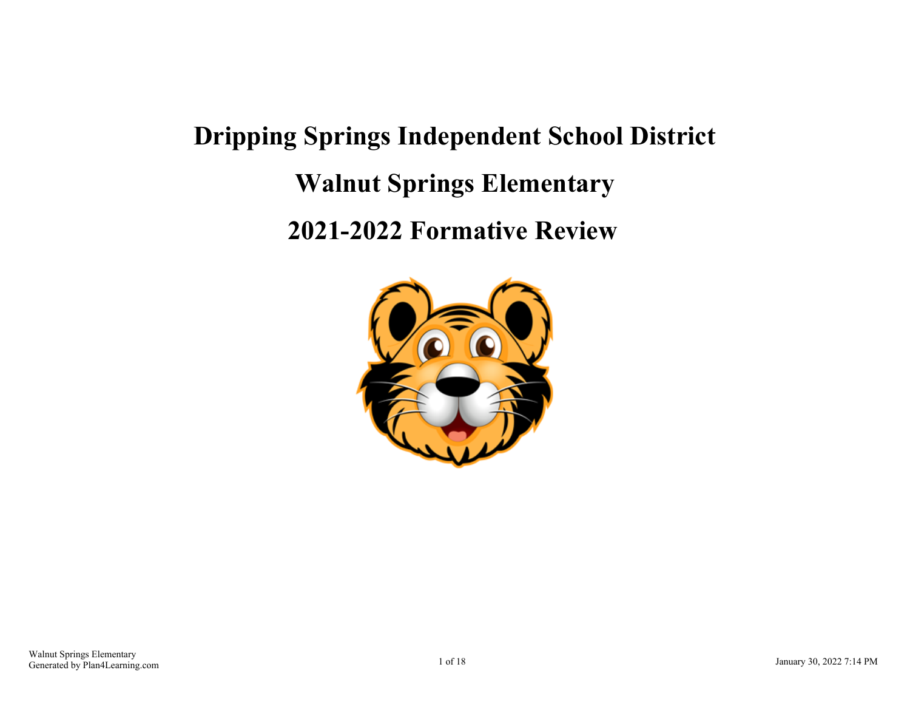# **Dripping Springs Independent School District Walnut Springs Elementary 2021-2022 Formative Review**

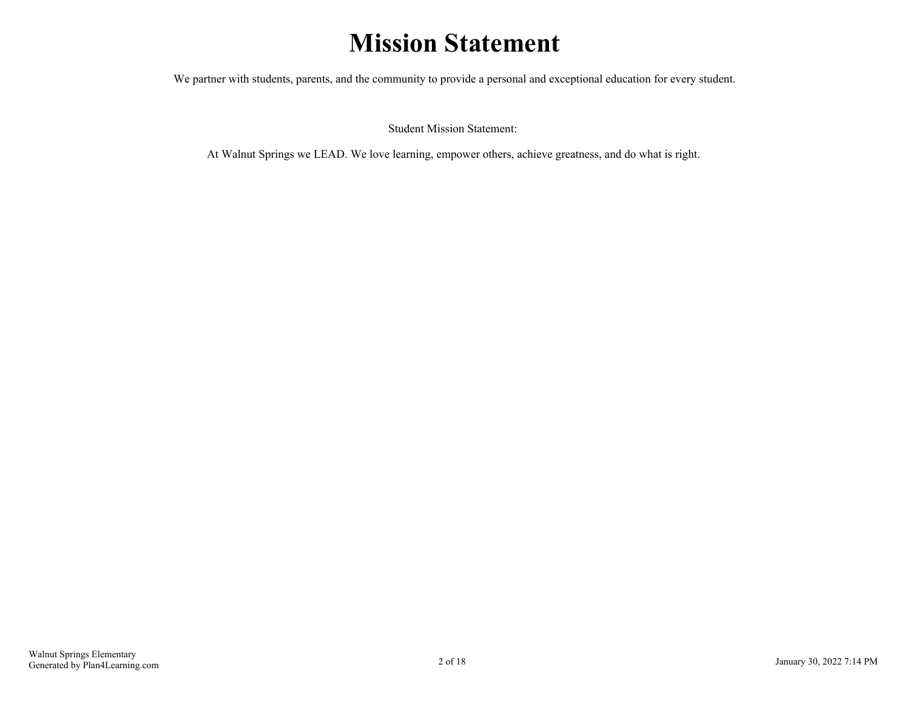## **Mission Statement**

We partner with students, parents, and the community to provide a personal and exceptional education for every student.

Student Mission Statement:

At Walnut Springs we LEAD. We love learning, empower others, achieve greatness, and do what is right.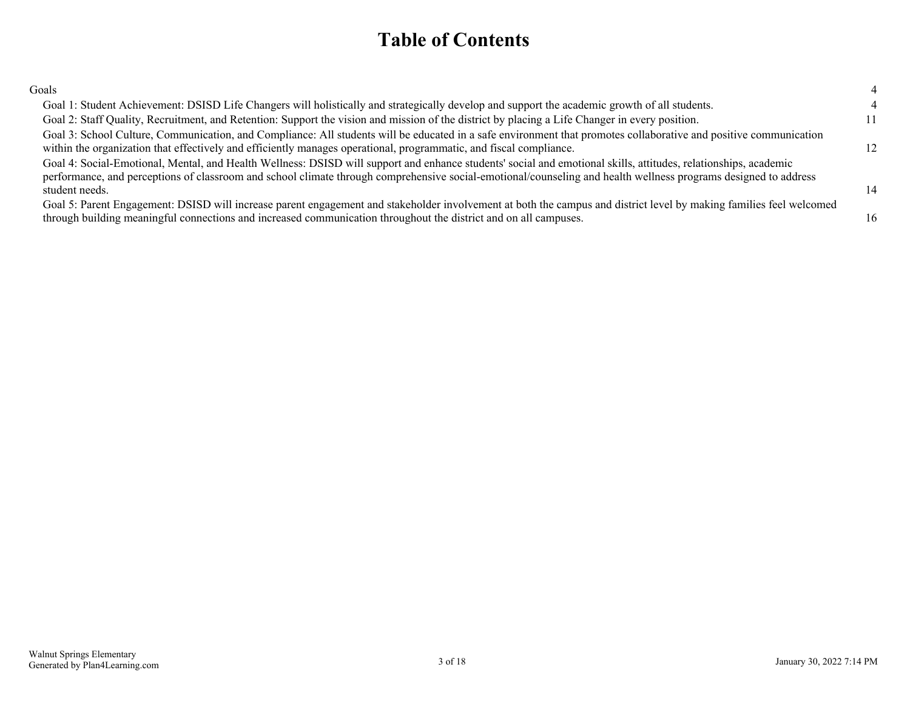### **Table of Contents**

| ٧<br>I<br>I<br>۰,<br>۰, |
|-------------------------|
|-------------------------|

| Goals                                                                                                                                                                                                                                                                                                                                                |    |
|------------------------------------------------------------------------------------------------------------------------------------------------------------------------------------------------------------------------------------------------------------------------------------------------------------------------------------------------------|----|
| Goal 1: Student Achievement: DSISD Life Changers will holistically and strategically develop and support the academic growth of all students.                                                                                                                                                                                                        |    |
| Goal 2: Staff Quality, Recruitment, and Retention: Support the vision and mission of the district by placing a Life Changer in every position.                                                                                                                                                                                                       | 11 |
| Goal 3: School Culture, Communication, and Compliance: All students will be educated in a safe environment that promotes collaborative and positive communication<br>within the organization that effectively and efficiently manages operational, programmatic, and fiscal compliance.                                                              | 12 |
| Goal 4: Social-Emotional, Mental, and Health Wellness: DSISD will support and enhance students' social and emotional skills, attitudes, relationships, academic<br>performance, and perceptions of classroom and school climate through comprehensive social-emotional/counseling and health wellness programs designed to address<br>student needs. | 14 |
| Goal 5: Parent Engagement: DSISD will increase parent engagement and stakeholder involvement at both the campus and district level by making families feel welcomed<br>through building meaningful connections and increased communication throughout the district and on all campuses.                                                              | 16 |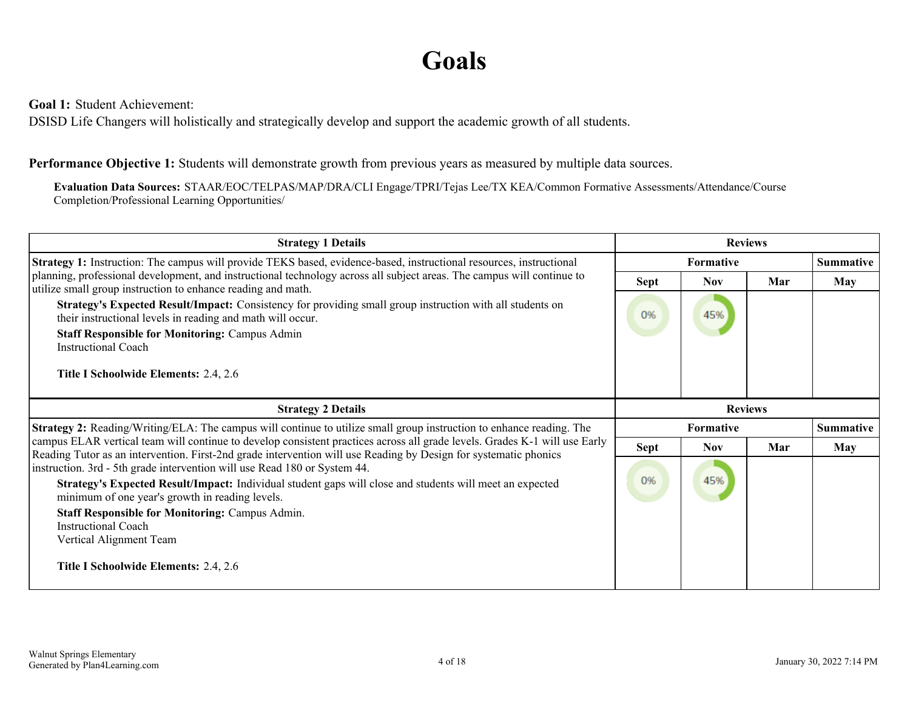## **Goals**

<span id="page-3-0"></span>**Goal 1:** Student Achievement:

DSISD Life Changers will holistically and strategically develop and support the academic growth of all students.

#### **Performance Objective 1:** Students will demonstrate growth from previous years as measured by multiple data sources.

**Evaluation Data Sources:** STAAR/EOC/TELPAS/MAP/DRA/CLI Engage/TPRI/Tejas Lee/TX KEA/Common Formative Assessments/Attendance/Course Completion/Professional Learning Opportunities/

| <b>Strategy 1 Details</b>                                                                                                                                                                                                                                                                          | <b>Reviews</b>   |                  |     |            |
|----------------------------------------------------------------------------------------------------------------------------------------------------------------------------------------------------------------------------------------------------------------------------------------------------|------------------|------------------|-----|------------|
| Strategy 1: Instruction: The campus will provide TEKS based, evidence-based, instructional resources, instructional                                                                                                                                                                                |                  | Formative        |     |            |
| planning, professional development, and instructional technology across all subject areas. The campus will continue to<br>utilize small group instruction to enhance reading and math.                                                                                                             | <b>Sept</b>      | <b>Nov</b>       | Mar | <b>May</b> |
| Strategy's Expected Result/Impact: Consistency for providing small group instruction with all students on<br>their instructional levels in reading and math will occur.                                                                                                                            | 0%               | 45%              |     |            |
| <b>Staff Responsible for Monitoring: Campus Admin</b><br><b>Instructional Coach</b>                                                                                                                                                                                                                |                  |                  |     |            |
| Title I Schoolwide Elements: 2.4, 2.6                                                                                                                                                                                                                                                              |                  |                  |     |            |
| <b>Strategy 2 Details</b>                                                                                                                                                                                                                                                                          | <b>Reviews</b>   |                  |     |            |
| <b>Strategy 2:</b> Reading/Writing/ELA: The campus will continue to utilize small group instruction to enhance reading. The                                                                                                                                                                        | <b>Formative</b> | <b>Summative</b> |     |            |
| campus ELAR vertical team will continue to develop consistent practices across all grade levels. Grades K-1 will use Early<br>Reading Tutor as an intervention. First-2nd grade intervention will use Reading by Design for systematic phonics                                                     | Sept             | <b>Nov</b>       | Mar | <b>May</b> |
| instruction. 3rd - 5th grade intervention will use Read 180 or System 44.<br>Strategy's Expected Result/Impact: Individual student gaps will close and students will meet an expected<br>minimum of one year's growth in reading levels.<br><b>Staff Responsible for Monitoring: Campus Admin.</b> | 0%               | 45%              |     |            |
| <b>Instructional Coach</b>                                                                                                                                                                                                                                                                         |                  |                  |     |            |
| Vertical Alignment Team                                                                                                                                                                                                                                                                            |                  |                  |     |            |
| <b>Title I Schoolwide Elements: 2.4, 2.6</b>                                                                                                                                                                                                                                                       |                  |                  |     |            |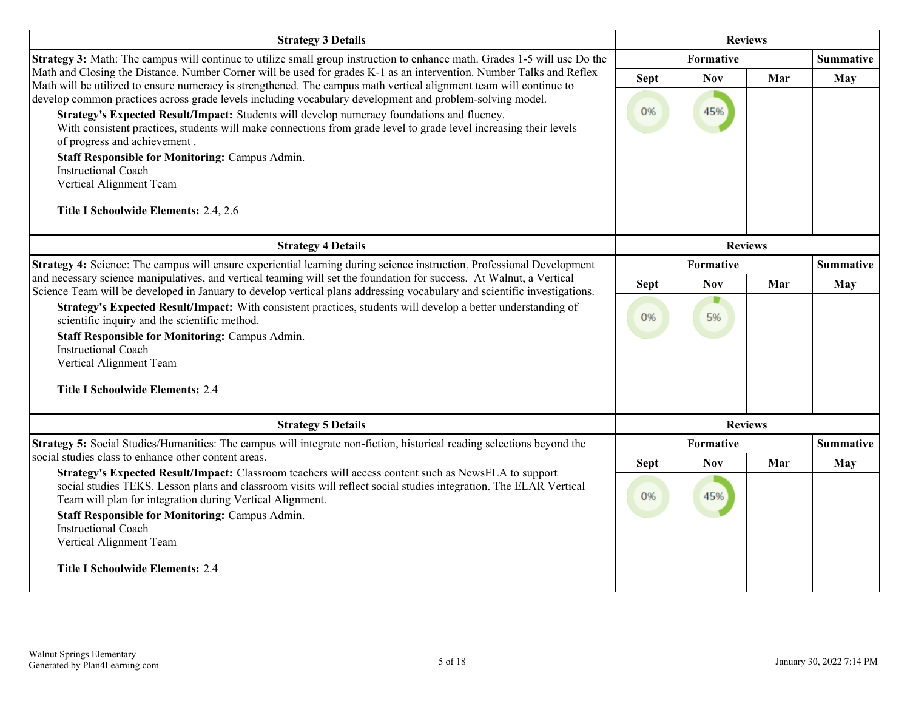| <b>Strategy 3 Details</b>                                                                                                                                                                                                                                                                                                                                                                                                                                                                                                                                                                                                                                                                                                                                             | <b>Reviews</b>    |                   |     |                  |
|-----------------------------------------------------------------------------------------------------------------------------------------------------------------------------------------------------------------------------------------------------------------------------------------------------------------------------------------------------------------------------------------------------------------------------------------------------------------------------------------------------------------------------------------------------------------------------------------------------------------------------------------------------------------------------------------------------------------------------------------------------------------------|-------------------|-------------------|-----|------------------|
| Strategy 3: Math: The campus will continue to utilize small group instruction to enhance math. Grades 1-5 will use Do the                                                                                                                                                                                                                                                                                                                                                                                                                                                                                                                                                                                                                                             | Formative         |                   |     | <b>Summative</b> |
| Math and Closing the Distance. Number Corner will be used for grades K-1 as an intervention. Number Talks and Reflex<br>Math will be utilized to ensure numeracy is strengthened. The campus math vertical alignment team will continue to<br>develop common practices across grade levels including vocabulary development and problem-solving model.<br>Strategy's Expected Result/Impact: Students will develop numeracy foundations and fluency.<br>With consistent practices, students will make connections from grade level to grade level increasing their levels<br>of progress and achievement.<br><b>Staff Responsible for Monitoring: Campus Admin.</b><br><b>Instructional Coach</b><br>Vertical Alignment Team<br>Title I Schoolwide Elements: 2.4, 2.6 | <b>Sept</b><br>0% | <b>Nov</b><br>45% | Mar | <b>May</b>       |
| <b>Strategy 4 Details</b>                                                                                                                                                                                                                                                                                                                                                                                                                                                                                                                                                                                                                                                                                                                                             |                   | <b>Reviews</b>    |     |                  |
| Strategy 4: Science: The campus will ensure experiential learning during science instruction. Professional Development                                                                                                                                                                                                                                                                                                                                                                                                                                                                                                                                                                                                                                                | Formative         |                   |     | <b>Summative</b> |
| and necessary science manipulatives, and vertical teaming will set the foundation for success. At Walnut, a Vertical<br>Science Team will be developed in January to develop vertical plans addressing vocabulary and scientific investigations.                                                                                                                                                                                                                                                                                                                                                                                                                                                                                                                      | <b>Sept</b>       | <b>Nov</b>        | Mar | <b>May</b>       |
| Strategy's Expected Result/Impact: With consistent practices, students will develop a better understanding of<br>scientific inquiry and the scientific method.<br><b>Staff Responsible for Monitoring: Campus Admin.</b><br><b>Instructional Coach</b><br>Vertical Alignment Team                                                                                                                                                                                                                                                                                                                                                                                                                                                                                     | 0%                | D<br>5%           |     |                  |
| <b>Title I Schoolwide Elements: 2.4</b>                                                                                                                                                                                                                                                                                                                                                                                                                                                                                                                                                                                                                                                                                                                               |                   |                   |     |                  |
| <b>Strategy 5 Details</b>                                                                                                                                                                                                                                                                                                                                                                                                                                                                                                                                                                                                                                                                                                                                             |                   | <b>Reviews</b>    |     |                  |
| Strategy 5: Social Studies/Humanities: The campus will integrate non-fiction, historical reading selections beyond the                                                                                                                                                                                                                                                                                                                                                                                                                                                                                                                                                                                                                                                |                   | Formative         |     | <b>Summative</b> |
| social studies class to enhance other content areas.<br>Strategy's Expected Result/Impact: Classroom teachers will access content such as NewsELA to support                                                                                                                                                                                                                                                                                                                                                                                                                                                                                                                                                                                                          | <b>Sept</b>       | <b>Nov</b>        | Mar | May              |
| social studies TEKS. Lesson plans and classroom visits will reflect social studies integration. The ELAR Vertical<br>Team will plan for integration during Vertical Alignment.<br><b>Staff Responsible for Monitoring: Campus Admin.</b><br><b>Instructional Coach</b><br>Vertical Alignment Team<br><b>Title I Schoolwide Elements: 2.4</b>                                                                                                                                                                                                                                                                                                                                                                                                                          | 0%                | 45%               |     |                  |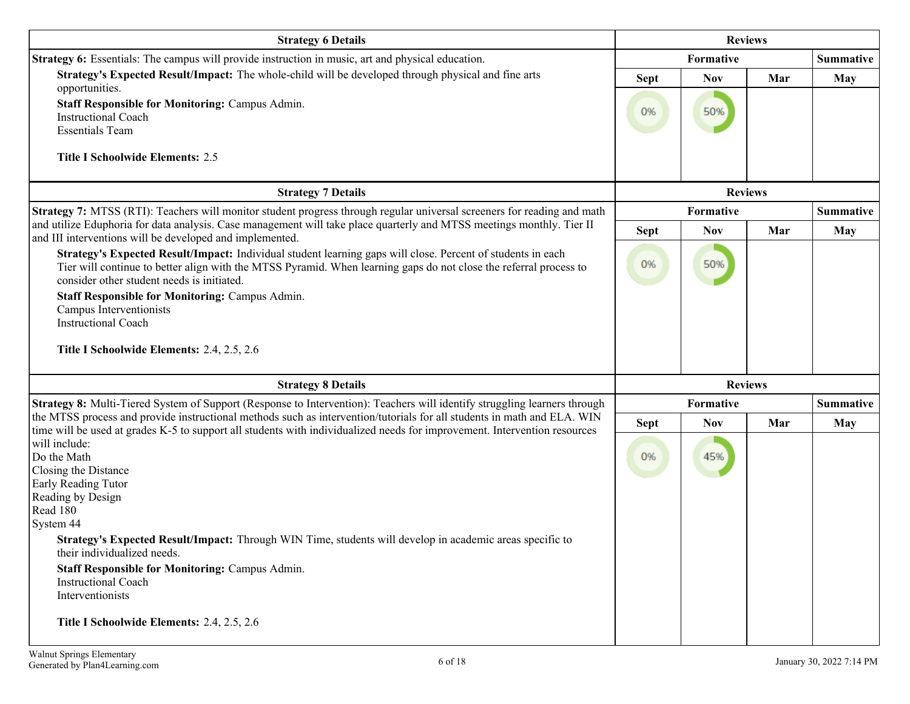| <b>Strategy 6 Details</b>                                                                                                                                                                                                                                                      | <b>Reviews</b> |                  |                |            |
|--------------------------------------------------------------------------------------------------------------------------------------------------------------------------------------------------------------------------------------------------------------------------------|----------------|------------------|----------------|------------|
| Strategy 6: Essentials: The campus will provide instruction in music, art and physical education.                                                                                                                                                                              |                | Formative        |                |            |
| Strategy's Expected Result/Impact: The whole-child will be developed through physical and fine arts                                                                                                                                                                            | <b>Sept</b>    | <b>Nov</b>       | Mar            | <b>May</b> |
| opportunities.<br><b>Staff Responsible for Monitoring: Campus Admin.</b><br><b>Instructional Coach</b><br><b>Essentials Team</b>                                                                                                                                               | 0%             | 50%              |                |            |
| <b>Title I Schoolwide Elements: 2.5</b>                                                                                                                                                                                                                                        |                |                  |                |            |
| <b>Strategy 7 Details</b>                                                                                                                                                                                                                                                      |                |                  | <b>Reviews</b> |            |
| Strategy 7: MTSS (RTI): Teachers will monitor student progress through regular universal screeners for reading and math                                                                                                                                                        |                | Formative        |                | Summative  |
| and utilize Eduphoria for data analysis. Case management will take place quarterly and MTSS meetings monthly. Tier II<br>and III interventions will be developed and implemented.                                                                                              | <b>Sept</b>    | <b>Nov</b>       | Mar            | May        |
| Strategy's Expected Result/Impact: Individual student learning gaps will close. Percent of students in each<br>Tier will continue to better align with the MTSS Pyramid. When learning gaps do not close the referral process to<br>consider other student needs is initiated. | 0%             | 50%              |                |            |
| Staff Responsible for Monitoring: Campus Admin.                                                                                                                                                                                                                                |                |                  |                |            |
| Campus Interventionists<br><b>Instructional Coach</b>                                                                                                                                                                                                                          |                |                  |                |            |
| Title I Schoolwide Elements: 2.4, 2.5, 2.6                                                                                                                                                                                                                                     |                |                  |                |            |
| <b>Strategy 8 Details</b>                                                                                                                                                                                                                                                      |                |                  | <b>Reviews</b> |            |
| Strategy 8: Multi-Tiered System of Support (Response to Intervention): Teachers will identify struggling learners through                                                                                                                                                      | Formative      | <b>Summative</b> |                |            |
| the MTSS process and provide instructional methods such as intervention/tutorials for all students in math and ELA. WIN<br>time will be used at grades K-5 to support all students with individualized needs for improvement. Intervention resources                           | <b>Sept</b>    | <b>Nov</b>       | Mar            | <b>May</b> |
| will include:<br>Do the Math<br>Closing the Distance<br>Early Reading Tutor<br>Reading by Design                                                                                                                                                                               | 0%             | 45%              |                |            |
| Read 180                                                                                                                                                                                                                                                                       |                |                  |                |            |
| System 44<br>Strategy's Expected Result/Impact: Through WIN Time, students will develop in academic areas specific to<br>their individualized needs.<br><b>Staff Responsible for Monitoring: Campus Admin.</b><br><b>Instructional Coach</b><br>Interventionists               |                |                  |                |            |
| Title I Schoolwide Elements: 2.4, 2.5, 2.6                                                                                                                                                                                                                                     |                |                  |                |            |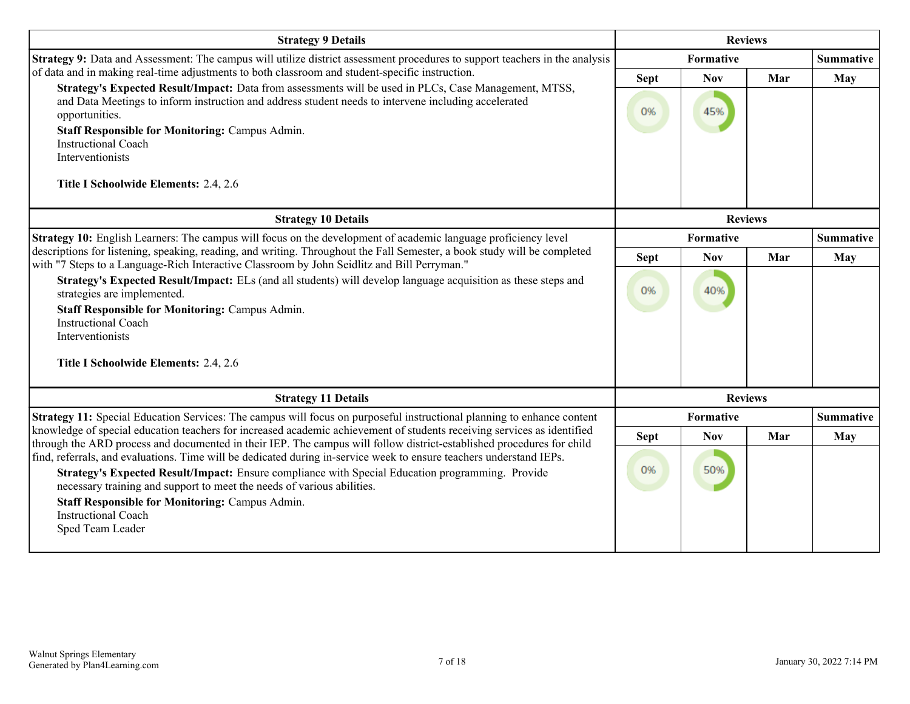| <b>Strategy 9 Details</b>                                                                                                                                                                                                                        |             | <b>Reviews</b> |                |                  |  |
|--------------------------------------------------------------------------------------------------------------------------------------------------------------------------------------------------------------------------------------------------|-------------|----------------|----------------|------------------|--|
| Strategy 9: Data and Assessment: The campus will utilize district assessment procedures to support teachers in the analysis                                                                                                                      |             | Formative      |                |                  |  |
| of data and in making real-time adjustments to both classroom and student-specific instruction.<br>Strategy's Expected Result/Impact: Data from assessments will be used in PLCs, Case Management, MTSS,                                         | <b>Sept</b> | <b>Nov</b>     | Mar            | May              |  |
| and Data Meetings to inform instruction and address student needs to intervene including accelerated<br>opportunities.                                                                                                                           | 0%          | 45%            |                |                  |  |
| <b>Staff Responsible for Monitoring: Campus Admin.</b><br><b>Instructional Coach</b>                                                                                                                                                             |             |                |                |                  |  |
| Interventionists                                                                                                                                                                                                                                 |             |                |                |                  |  |
| Title I Schoolwide Elements: 2.4, 2.6                                                                                                                                                                                                            |             |                |                |                  |  |
| <b>Strategy 10 Details</b>                                                                                                                                                                                                                       |             |                | <b>Reviews</b> |                  |  |
| <b>Strategy 10:</b> English Learners: The campus will focus on the development of academic language proficiency level                                                                                                                            | Formative   |                |                | <b>Summative</b> |  |
| descriptions for listening, speaking, reading, and writing. Throughout the Fall Semester, a book study will be completed<br>with "7 Steps to a Language-Rich Interactive Classroom by John Seidlitz and Bill Perryman."                          | <b>Sept</b> | <b>Nov</b>     | Mar            | <b>May</b>       |  |
| Strategy's Expected Result/Impact: ELs (and all students) will develop language acquisition as these steps and<br>strategies are implemented.                                                                                                    | 0%          | 40%            |                |                  |  |
| <b>Staff Responsible for Monitoring: Campus Admin.</b>                                                                                                                                                                                           |             |                |                |                  |  |
| <b>Instructional Coach</b><br>Interventionists                                                                                                                                                                                                   |             |                |                |                  |  |
| Title I Schoolwide Elements: 2.4, 2.6                                                                                                                                                                                                            |             |                |                |                  |  |
| <b>Strategy 11 Details</b>                                                                                                                                                                                                                       |             |                | <b>Reviews</b> |                  |  |
| Strategy 11: Special Education Services: The campus will focus on purposeful instructional planning to enhance content                                                                                                                           |             | Formative      |                | <b>Summative</b> |  |
| knowledge of special education teachers for increased academic achievement of students receiving services as identified<br>through the ARD process and documented in their IEP. The campus will follow district-established procedures for child | <b>Sept</b> | <b>Nov</b>     | Mar            | May              |  |
| find, referrals, and evaluations. Time will be dedicated during in-service week to ensure teachers understand IEPs.                                                                                                                              |             |                |                |                  |  |
| Strategy's Expected Result/Impact: Ensure compliance with Special Education programming. Provide<br>necessary training and support to meet the needs of various abilities.                                                                       | 0%          | 50%            |                |                  |  |
| <b>Staff Responsible for Monitoring: Campus Admin.</b><br><b>Instructional Coach</b>                                                                                                                                                             |             |                |                |                  |  |
| Sped Team Leader                                                                                                                                                                                                                                 |             |                |                |                  |  |
|                                                                                                                                                                                                                                                  |             |                |                |                  |  |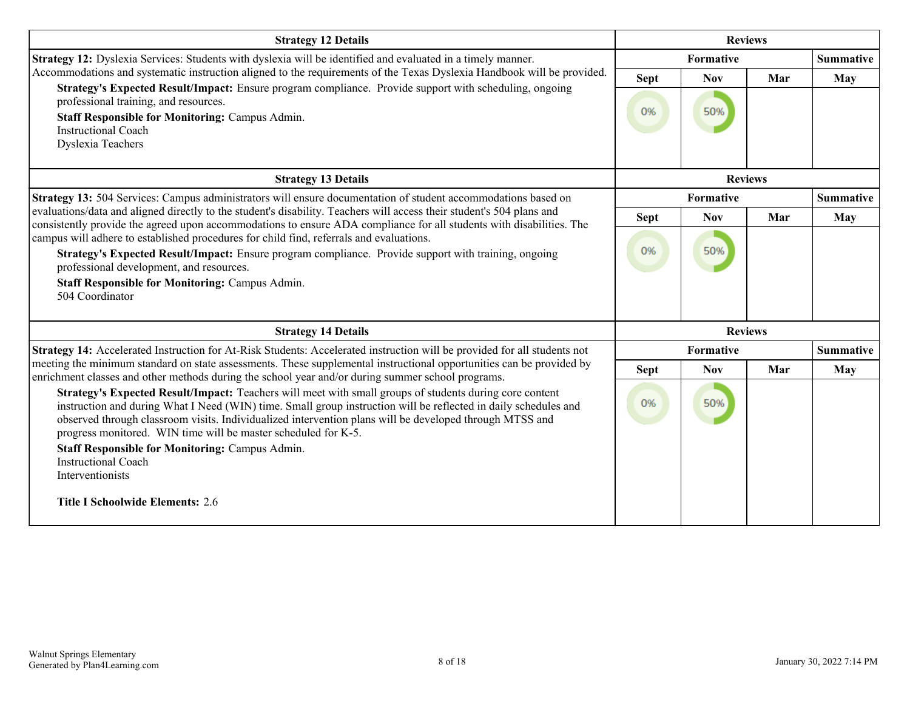| <b>Strategy 12 Details</b>                                                                                                                                                                                                                    |             | <b>Reviews</b> |                |                  |
|-----------------------------------------------------------------------------------------------------------------------------------------------------------------------------------------------------------------------------------------------|-------------|----------------|----------------|------------------|
| Strategy 12: Dyslexia Services: Students with dyslexia will be identified and evaluated in a timely manner.                                                                                                                                   |             | Formative      |                |                  |
| Accommodations and systematic instruction aligned to the requirements of the Texas Dyslexia Handbook will be provided.                                                                                                                        | <b>Sept</b> | <b>Nov</b>     | Mar            | May              |
| Strategy's Expected Result/Impact: Ensure program compliance. Provide support with scheduling, ongoing<br>professional training, and resources.                                                                                               |             |                |                |                  |
| <b>Staff Responsible for Monitoring: Campus Admin.</b>                                                                                                                                                                                        | 0%          | 50%            |                |                  |
| <b>Instructional Coach</b><br>Dyslexia Teachers                                                                                                                                                                                               |             |                |                |                  |
|                                                                                                                                                                                                                                               |             |                |                |                  |
| <b>Strategy 13 Details</b>                                                                                                                                                                                                                    |             |                | <b>Reviews</b> |                  |
| Strategy 13: 504 Services: Campus administrators will ensure documentation of student accommodations based on                                                                                                                                 |             | Formative      |                | <b>Summative</b> |
| evaluations/data and aligned directly to the student's disability. Teachers will access their student's 504 plans and<br>consistently provide the agreed upon accommodations to ensure ADA compliance for all students with disabilities. The | <b>Sept</b> | <b>Nov</b>     | Mar            | May              |
| campus will adhere to established procedures for child find, referrals and evaluations.                                                                                                                                                       |             |                |                |                  |
| Strategy's Expected Result/Impact: Ensure program compliance. Provide support with training, ongoing                                                                                                                                          | 0%          | 50%            |                |                  |
| professional development, and resources.                                                                                                                                                                                                      |             |                |                |                  |
| <b>Staff Responsible for Monitoring: Campus Admin.</b><br>504 Coordinator                                                                                                                                                                     |             |                |                |                  |
|                                                                                                                                                                                                                                               |             |                |                |                  |
| <b>Strategy 14 Details</b>                                                                                                                                                                                                                    |             |                | <b>Reviews</b> |                  |
| Strategy 14: Accelerated Instruction for At-Risk Students: Accelerated instruction will be provided for all students not                                                                                                                      |             | Formative      |                | <b>Summative</b> |
| meeting the minimum standard on state assessments. These supplemental instructional opportunities can be provided by<br>enrichment classes and other methods during the school year and/or during summer school programs.                     | <b>Sept</b> | <b>Nov</b>     | Mar            | May              |
| Strategy's Expected Result/Impact: Teachers will meet with small groups of students during core content                                                                                                                                       |             |                |                |                  |
| instruction and during What I Need (WIN) time. Small group instruction will be reflected in daily schedules and<br>observed through classroom visits. Individualized intervention plans will be developed through MTSS and                    | 0%          | 50%            |                |                  |
| progress monitored. WIN time will be master scheduled for K-5.                                                                                                                                                                                |             |                |                |                  |
| <b>Staff Responsible for Monitoring: Campus Admin.</b>                                                                                                                                                                                        |             |                |                |                  |
| <b>Instructional Coach</b><br>Interventionists                                                                                                                                                                                                |             |                |                |                  |
|                                                                                                                                                                                                                                               |             |                |                |                  |
| <b>Title I Schoolwide Elements: 2.6</b>                                                                                                                                                                                                       |             |                |                |                  |
|                                                                                                                                                                                                                                               |             |                |                |                  |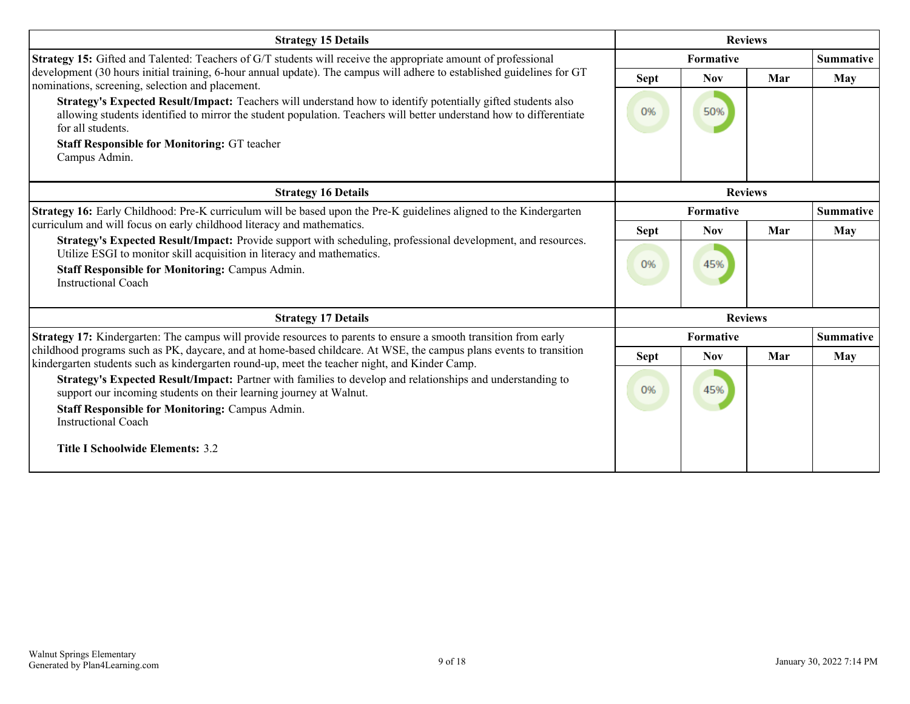| <b>Strategy 15 Details</b>                                                                                                                                                                                                                                                     | <b>Reviews</b> |                  |                |                  |
|--------------------------------------------------------------------------------------------------------------------------------------------------------------------------------------------------------------------------------------------------------------------------------|----------------|------------------|----------------|------------------|
| Strategy 15: Gifted and Talented: Teachers of G/T students will receive the appropriate amount of professional                                                                                                                                                                 |                | <b>Formative</b> |                | <b>Summative</b> |
| development (30 hours initial training, 6-hour annual update). The campus will adhere to established guidelines for GT<br>nominations, screening, selection and placement.                                                                                                     | <b>Sept</b>    | <b>Nov</b>       | Mar            | May              |
| Strategy's Expected Result/Impact: Teachers will understand how to identify potentially gifted students also<br>allowing students identified to mirror the student population. Teachers will better understand how to differentiate<br>for all students.                       | 0%             | 50%              |                |                  |
| <b>Staff Responsible for Monitoring: GT teacher</b><br>Campus Admin.                                                                                                                                                                                                           |                |                  |                |                  |
| <b>Strategy 16 Details</b>                                                                                                                                                                                                                                                     | <b>Reviews</b> |                  |                |                  |
| Strategy 16: Early Childhood: Pre-K curriculum will be based upon the Pre-K guidelines aligned to the Kindergarten                                                                                                                                                             | Formative      |                  |                | <b>Summative</b> |
| curriculum and will focus on early childhood literacy and mathematics.                                                                                                                                                                                                         | <b>Sept</b>    | <b>Nov</b>       | Mar            | May              |
| Strategy's Expected Result/Impact: Provide support with scheduling, professional development, and resources.<br>Utilize ESGI to monitor skill acquisition in literacy and mathematics.<br><b>Staff Responsible for Monitoring: Campus Admin.</b><br><b>Instructional Coach</b> | 0%             | 45%              |                |                  |
| <b>Strategy 17 Details</b>                                                                                                                                                                                                                                                     |                |                  | <b>Reviews</b> |                  |
| Strategy 17: Kindergarten: The campus will provide resources to parents to ensure a smooth transition from early                                                                                                                                                               |                | Formative        |                | <b>Summative</b> |
| childhood programs such as PK, daycare, and at home-based childcare. At WSE, the campus plans events to transition<br>kindergarten students such as kindergarten round-up, meet the teacher night, and Kinder Camp.                                                            | <b>Sept</b>    | <b>Nov</b>       | Mar            | May              |
| Strategy's Expected Result/Impact: Partner with families to develop and relationships and understanding to<br>support our incoming students on their learning journey at Walnut.<br><b>Staff Responsible for Monitoring: Campus Admin.</b><br><b>Instructional Coach</b>       | 0%             | 45%              |                |                  |
| <b>Title I Schoolwide Elements: 3.2</b>                                                                                                                                                                                                                                        |                |                  |                |                  |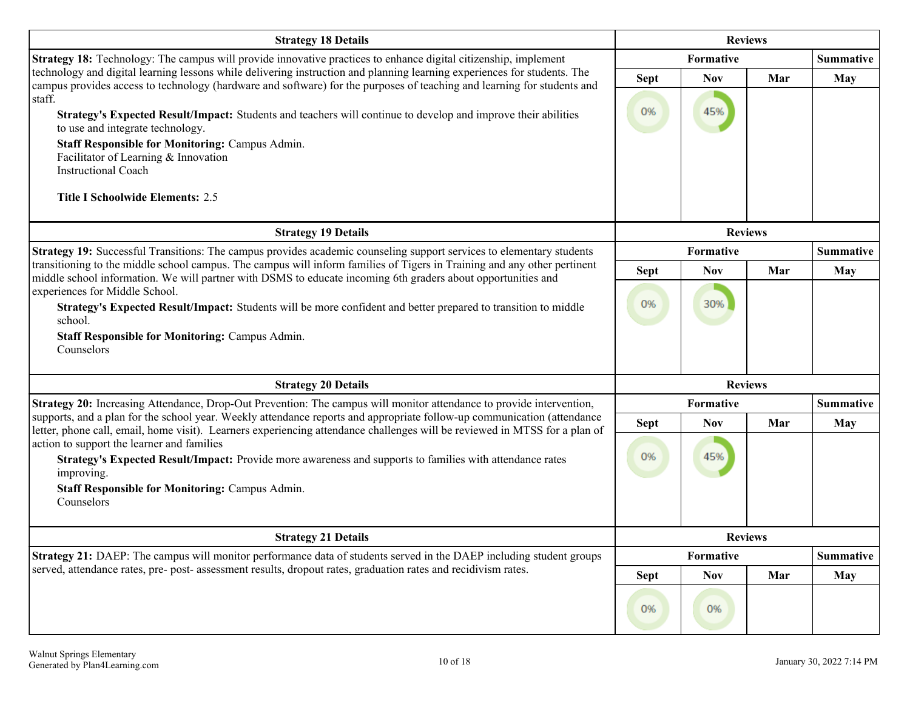| <b>Strategy 18 Details</b>                                                                                                                                                                                                                                                                                                                                                                                                                                                                                                                                                                    | <b>Reviews</b>    |                   |     |                  |  |
|-----------------------------------------------------------------------------------------------------------------------------------------------------------------------------------------------------------------------------------------------------------------------------------------------------------------------------------------------------------------------------------------------------------------------------------------------------------------------------------------------------------------------------------------------------------------------------------------------|-------------------|-------------------|-----|------------------|--|
| Strategy 18: Technology: The campus will provide innovative practices to enhance digital citizenship, implement                                                                                                                                                                                                                                                                                                                                                                                                                                                                               |                   | Formative         |     | <b>Summative</b> |  |
| technology and digital learning lessons while delivering instruction and planning learning experiences for students. The<br>campus provides access to technology (hardware and software) for the purposes of teaching and learning for students and<br>staff.<br>Strategy's Expected Result/Impact: Students and teachers will continue to develop and improve their abilities<br>to use and integrate technology.<br><b>Staff Responsible for Monitoring: Campus Admin.</b><br>Facilitator of Learning & Innovation<br><b>Instructional Coach</b><br><b>Title I Schoolwide Elements: 2.5</b> | <b>Sept</b><br>0% | <b>Nov</b><br>45% | Mar | <b>May</b>       |  |
| <b>Strategy 19 Details</b>                                                                                                                                                                                                                                                                                                                                                                                                                                                                                                                                                                    |                   | <b>Reviews</b>    |     |                  |  |
| Strategy 19: Successful Transitions: The campus provides academic counseling support services to elementary students                                                                                                                                                                                                                                                                                                                                                                                                                                                                          |                   | Formative         |     | <b>Summative</b> |  |
| transitioning to the middle school campus. The campus will inform families of Tigers in Training and any other pertinent<br>middle school information. We will partner with DSMS to educate incoming 6th graders about opportunities and                                                                                                                                                                                                                                                                                                                                                      | <b>Sept</b>       | <b>Nov</b>        | Mar | <b>May</b>       |  |
| experiences for Middle School.<br>Strategy's Expected Result/Impact: Students will be more confident and better prepared to transition to middle<br>school.<br><b>Staff Responsible for Monitoring: Campus Admin.</b><br>Counselors                                                                                                                                                                                                                                                                                                                                                           | 0%                | 30%               |     |                  |  |
| <b>Strategy 20 Details</b>                                                                                                                                                                                                                                                                                                                                                                                                                                                                                                                                                                    |                   | <b>Reviews</b>    |     |                  |  |
| Strategy 20: Increasing Attendance, Drop-Out Prevention: The campus will monitor attendance to provide intervention,                                                                                                                                                                                                                                                                                                                                                                                                                                                                          |                   | Formative         |     | <b>Summative</b> |  |
| supports, and a plan for the school year. Weekly attendance reports and appropriate follow-up communication (attendance<br>letter, phone call, email, home visit). Learners experiencing attendance challenges will be reviewed in MTSS for a plan of<br>action to support the learner and families<br>Strategy's Expected Result/Impact: Provide more awareness and supports to families with attendance rates<br>improving.<br><b>Staff Responsible for Monitoring: Campus Admin.</b><br>Counselors                                                                                         | <b>Sept</b><br>0% | <b>Nov</b><br>45% | Mar | <b>May</b>       |  |
| <b>Strategy 21 Details</b>                                                                                                                                                                                                                                                                                                                                                                                                                                                                                                                                                                    |                   | <b>Reviews</b>    |     |                  |  |
| Strategy 21: DAEP: The campus will monitor performance data of students served in the DAEP including student groups<br>served, attendance rates, pre- post- assessment results, dropout rates, graduation rates and recidivism rates.                                                                                                                                                                                                                                                                                                                                                         | Formative         |                   |     | <b>Summative</b> |  |
|                                                                                                                                                                                                                                                                                                                                                                                                                                                                                                                                                                                               | <b>Sept</b>       | <b>Nov</b>        | Mar | <b>May</b>       |  |
|                                                                                                                                                                                                                                                                                                                                                                                                                                                                                                                                                                                               | 0%                | 0%                |     |                  |  |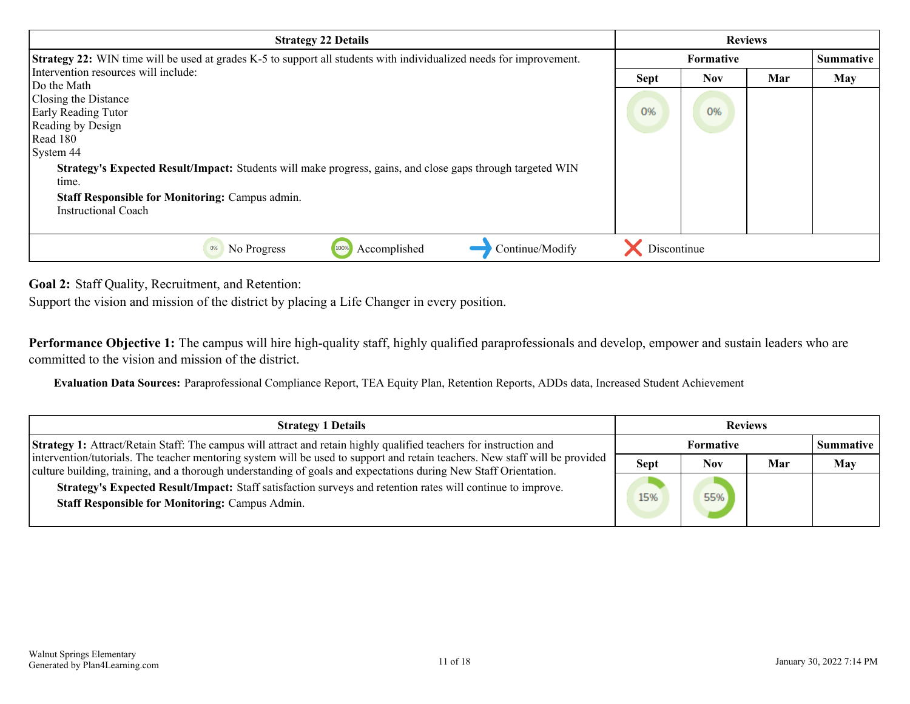<span id="page-10-0"></span>

| <b>Strategy 22 Details</b>                                                                                                                                                    | <b>Reviews</b>   |            |     |           |
|-------------------------------------------------------------------------------------------------------------------------------------------------------------------------------|------------------|------------|-----|-----------|
| Strategy 22: WIN time will be used at grades K-5 to support all students with individualized needs for improvement.                                                           | <b>Formative</b> |            |     | Summative |
| Intervention resources will include:                                                                                                                                          | <b>Sept</b>      | <b>Nov</b> | Mar | May       |
| Do the Math<br>Closing the Distance<br><b>Early Reading Tutor</b><br>Reading by Design<br>Read 180<br>System 44                                                               | 0%               | 0%         |     |           |
| Strategy's Expected Result/Impact: Students will make progress, gains, and close gaps through targeted WIN<br>time.<br><b>Staff Responsible for Monitoring: Campus admin.</b> |                  |            |     |           |
| Instructional Coach                                                                                                                                                           |                  |            |     |           |
| Accomplished<br>Continue/Modify<br>No Progress<br>0%<br>100%                                                                                                                  | Discontinue      |            |     |           |

**Goal 2:** Staff Quality, Recruitment, and Retention:

Support the vision and mission of the district by placing a Life Changer in every position.

**Performance Objective 1:** The campus will hire high-quality staff, highly qualified paraprofessionals and develop, empower and sustain leaders who are committed to the vision and mission of the district.

**Evaluation Data Sources:** Paraprofessional Compliance Report, TEA Equity Plan, Retention Reports, ADDs data, Increased Student Achievement

| <b>Strategy 1 Details</b>                                                                                                                                                                                                                        | <b>Reviews</b>   |            |     |                    |
|--------------------------------------------------------------------------------------------------------------------------------------------------------------------------------------------------------------------------------------------------|------------------|------------|-----|--------------------|
| <b>Strategy 1:</b> Attract/Retain Staff: The campus will attract and retain highly qualified teachers for instruction and                                                                                                                        | <b>Formative</b> |            |     | <b>Summative</b> 1 |
| intervention/tutorials. The teacher mentoring system will be used to support and retain teachers. New staff will be provided<br>culture building, training, and a thorough understanding of goals and expectations during New Staff Orientation. | <b>Sept</b>      | <b>Nov</b> | Mar | May                |
| Strategy's Expected Result/Impact: Staff satisfaction surveys and retention rates will continue to improve.<br><b>Staff Responsible for Monitoring: Campus Admin.</b>                                                                            | 15%              | 55%        |     |                    |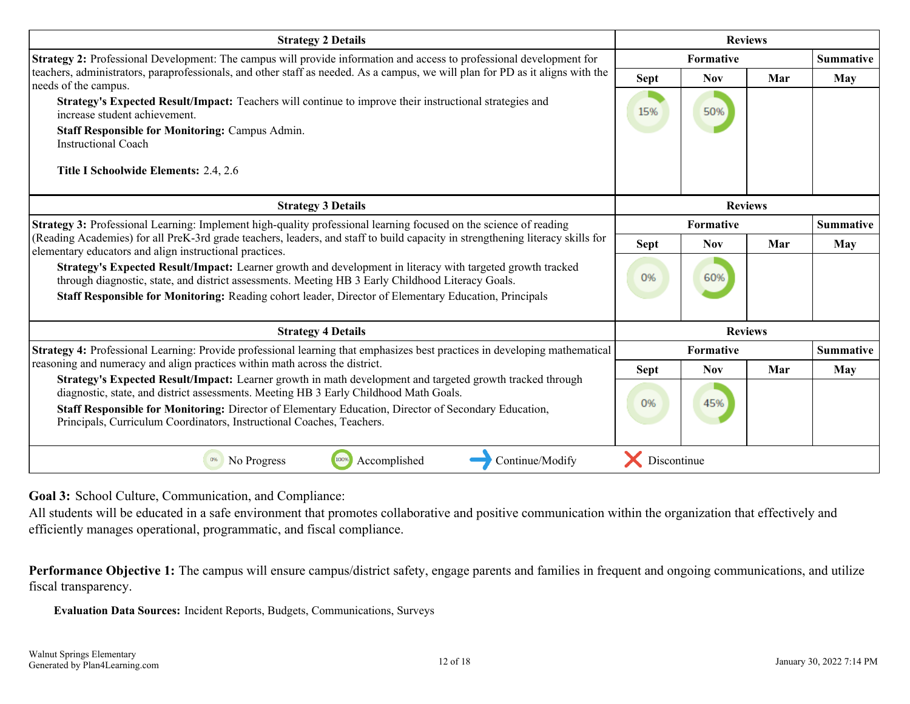<span id="page-11-0"></span>

| <b>Strategy 2 Details</b>                                                                                                                                                                                                                                                                                                                                                           | <b>Reviews</b> |                               |                |                  |
|-------------------------------------------------------------------------------------------------------------------------------------------------------------------------------------------------------------------------------------------------------------------------------------------------------------------------------------------------------------------------------------|----------------|-------------------------------|----------------|------------------|
| Strategy 2: Professional Development: The campus will provide information and access to professional development for                                                                                                                                                                                                                                                                |                | Formative<br><b>Summative</b> |                |                  |
| teachers, administrators, paraprofessionals, and other staff as needed. As a campus, we will plan for PD as it aligns with the<br>needs of the campus.                                                                                                                                                                                                                              | Sept           | <b>Nov</b>                    | Mar            | May              |
| Strategy's Expected Result/Impact: Teachers will continue to improve their instructional strategies and<br>increase student achievement.                                                                                                                                                                                                                                            | 15%            | 50%                           |                |                  |
| <b>Staff Responsible for Monitoring: Campus Admin.</b><br><b>Instructional Coach</b>                                                                                                                                                                                                                                                                                                |                |                               |                |                  |
| Title I Schoolwide Elements: 2.4, 2.6                                                                                                                                                                                                                                                                                                                                               |                |                               |                |                  |
| <b>Strategy 3 Details</b>                                                                                                                                                                                                                                                                                                                                                           | <b>Reviews</b> |                               |                |                  |
| Strategy 3: Professional Learning: Implement high-quality professional learning focused on the science of reading                                                                                                                                                                                                                                                                   |                | <b>Formative</b>              |                | <b>Summative</b> |
| (Reading Academies) for all PreK-3rd grade teachers, leaders, and staff to build capacity in strengthening literacy skills for<br>elementary educators and align instructional practices.                                                                                                                                                                                           | <b>Sept</b>    | <b>Nov</b>                    | Mar            | May              |
| Strategy's Expected Result/Impact: Learner growth and development in literacy with targeted growth tracked<br>through diagnostic, state, and district assessments. Meeting HB 3 Early Childhood Literacy Goals.                                                                                                                                                                     | 0%             | 60%                           |                |                  |
| Staff Responsible for Monitoring: Reading cohort leader, Director of Elementary Education, Principals                                                                                                                                                                                                                                                                               |                |                               |                |                  |
| <b>Strategy 4 Details</b>                                                                                                                                                                                                                                                                                                                                                           |                |                               | <b>Reviews</b> |                  |
| Strategy 4: Professional Learning: Provide professional learning that emphasizes best practices in developing mathematical                                                                                                                                                                                                                                                          |                | Formative                     |                | <b>Summative</b> |
| reasoning and numeracy and align practices within math across the district.                                                                                                                                                                                                                                                                                                         | <b>Sept</b>    | <b>Nov</b>                    | Mar            | May              |
| Strategy's Expected Result/Impact: Learner growth in math development and targeted growth tracked through<br>diagnostic, state, and district assessments. Meeting HB 3 Early Childhood Math Goals.<br>Staff Responsible for Monitoring: Director of Elementary Education, Director of Secondary Education,<br>Principals, Curriculum Coordinators, Instructional Coaches, Teachers. | 0%             | 45%                           |                |                  |
| 100%<br>Accomplished<br>Continue/Modify<br>0%<br>No Progress                                                                                                                                                                                                                                                                                                                        | Discontinue    |                               |                |                  |

**Goal 3:** School Culture, Communication, and Compliance:

All students will be educated in a safe environment that promotes collaborative and positive communication within the organization that effectively and efficiently manages operational, programmatic, and fiscal compliance.

**Performance Objective 1:** The campus will ensure campus/district safety, engage parents and families in frequent and ongoing communications, and utilize fiscal transparency.

**Evaluation Data Sources:** Incident Reports, Budgets, Communications, Surveys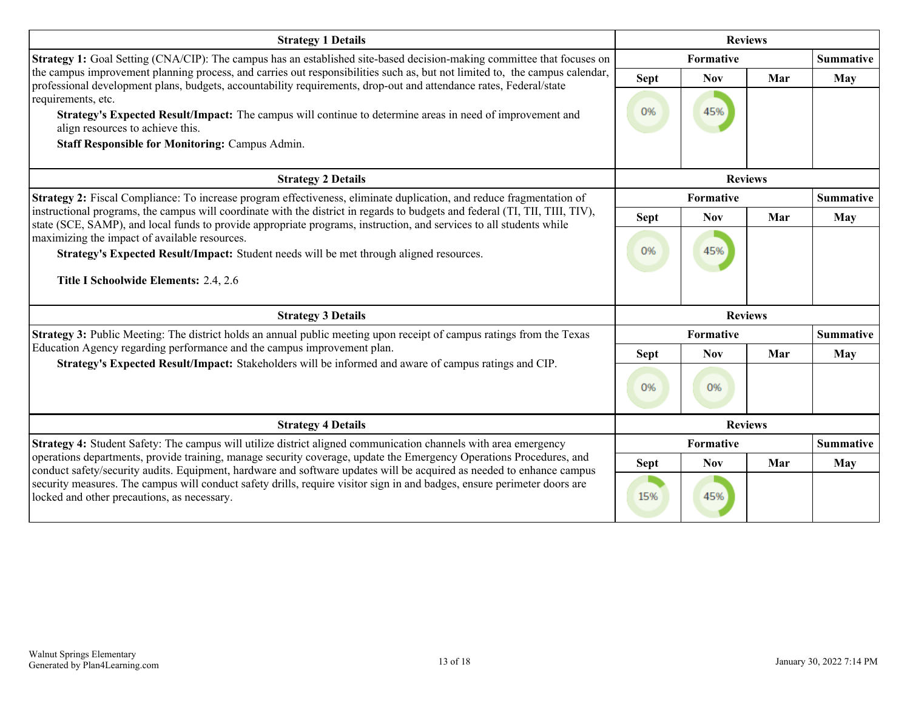| <b>Strategy 1 Details</b>                                                                                                                                                                                                                           | <b>Reviews</b> |                  |     |                  |  |  |
|-----------------------------------------------------------------------------------------------------------------------------------------------------------------------------------------------------------------------------------------------------|----------------|------------------|-----|------------------|--|--|
| <b>Strategy 1:</b> Goal Setting (CNA/CIP): The campus has an established site-based decision-making committee that focuses on                                                                                                                       |                | Formative        |     |                  |  |  |
| the campus improvement planning process, and carries out responsibilities such as, but not limited to, the campus calendar,<br>professional development plans, budgets, accountability requirements, drop-out and attendance rates, Federal/state   | <b>Sept</b>    | <b>Nov</b>       | Mar | May              |  |  |
| requirements, etc.<br>Strategy's Expected Result/Impact: The campus will continue to determine areas in need of improvement and<br>align resources to achieve this.<br><b>Staff Responsible for Monitoring: Campus Admin.</b>                       | 0%             | 45%              |     |                  |  |  |
| <b>Strategy 2 Details</b>                                                                                                                                                                                                                           |                | <b>Reviews</b>   |     |                  |  |  |
| Strategy 2: Fiscal Compliance: To increase program effectiveness, eliminate duplication, and reduce fragmentation of                                                                                                                                |                | <b>Formative</b> |     | <b>Summative</b> |  |  |
| instructional programs, the campus will coordinate with the district in regards to budgets and federal (TI, TII, TIII, TIV),<br>state (SCE, SAMP), and local funds to provide appropriate programs, instruction, and services to all students while | <b>Sept</b>    | <b>Nov</b>       | Mar | May              |  |  |
| maximizing the impact of available resources.<br>Strategy's Expected Result/Impact: Student needs will be met through aligned resources.                                                                                                            | 0%             | 45%              |     |                  |  |  |
| Title I Schoolwide Elements: 2.4, 2.6                                                                                                                                                                                                               |                |                  |     |                  |  |  |
| <b>Strategy 3 Details</b>                                                                                                                                                                                                                           | <b>Reviews</b> |                  |     |                  |  |  |
| Strategy 3: Public Meeting: The district holds an annual public meeting upon receipt of campus ratings from the Texas                                                                                                                               | Formative      |                  |     | <b>Summative</b> |  |  |
| Education Agency regarding performance and the campus improvement plan.                                                                                                                                                                             | <b>Sept</b>    | <b>Nov</b>       | Mar | May              |  |  |
| Strategy's Expected Result/Impact: Stakeholders will be informed and aware of campus ratings and CIP.                                                                                                                                               | 0%             | 0%               |     |                  |  |  |
| <b>Strategy 4 Details</b>                                                                                                                                                                                                                           | <b>Reviews</b> |                  |     |                  |  |  |
| Strategy 4: Student Safety: The campus will utilize district aligned communication channels with area emergency                                                                                                                                     |                | Formative        |     | <b>Summative</b> |  |  |
| operations departments, provide training, manage security coverage, update the Emergency Operations Procedures, and<br>conduct safety/security audits. Equipment, hardware and software updates will be acquired as needed to enhance campus        | <b>Sept</b>    | <b>Nov</b>       | Mar | May              |  |  |
| security measures. The campus will conduct safety drills, require visitor sign in and badges, ensure perimeter doors are<br>locked and other precautions, as necessary.                                                                             | 15%            | 45%              |     |                  |  |  |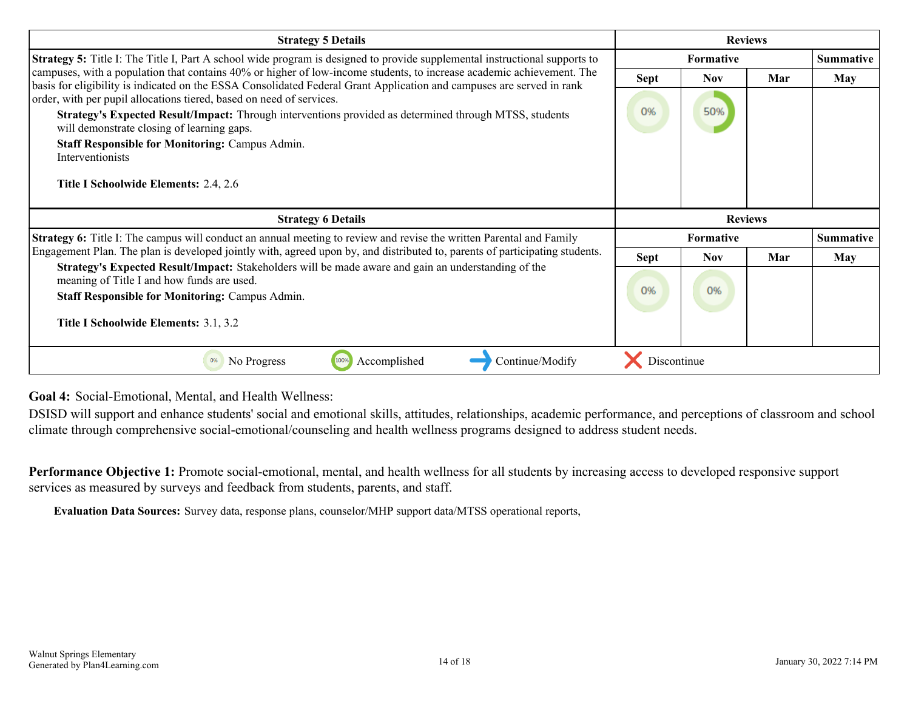<span id="page-13-0"></span>

| <b>Strategy 5 Details</b>                                                                                                                                                                                                                      | <b>Reviews</b>   |                |     |                  |
|------------------------------------------------------------------------------------------------------------------------------------------------------------------------------------------------------------------------------------------------|------------------|----------------|-----|------------------|
| <b>Strategy 5:</b> Title I: The Title I, Part A school wide program is designed to provide supplemental instructional supports to                                                                                                              | <b>Formative</b> |                |     | <b>Summative</b> |
| campuses, with a population that contains 40% or higher of low-income students, to increase academic achievement. The<br>basis for eligibility is indicated on the ESSA Consolidated Federal Grant Application and campuses are served in rank | <b>Sept</b>      | <b>Nov</b>     | Mar | <b>May</b>       |
| order, with per pupil allocations tiered, based on need of services.                                                                                                                                                                           |                  |                |     |                  |
| Strategy's Expected Result/Impact: Through interventions provided as determined through MTSS, students<br>will demonstrate closing of learning gaps.                                                                                           | 0%               | 50%            |     |                  |
| <b>Staff Responsible for Monitoring: Campus Admin.</b>                                                                                                                                                                                         |                  |                |     |                  |
| Interventionists                                                                                                                                                                                                                               |                  |                |     |                  |
| Title I Schoolwide Elements: 2.4, 2.6                                                                                                                                                                                                          |                  |                |     |                  |
|                                                                                                                                                                                                                                                |                  |                |     |                  |
| <b>Strategy 6 Details</b>                                                                                                                                                                                                                      |                  | <b>Reviews</b> |     |                  |
| Strategy 6: Title I: The campus will conduct an annual meeting to review and revise the written Parental and Family                                                                                                                            |                  | Formative      |     | <b>Summative</b> |
| Engagement Plan. The plan is developed jointly with, agreed upon by, and distributed to, parents of participating students.                                                                                                                    | <b>Sept</b>      | <b>Nov</b>     | Mar | May              |
| Strategy's Expected Result/Impact: Stakeholders will be made aware and gain an understanding of the                                                                                                                                            |                  |                |     |                  |
| meaning of Title I and how funds are used.<br><b>Staff Responsible for Monitoring: Campus Admin.</b>                                                                                                                                           | 0%               | 0%             |     |                  |
|                                                                                                                                                                                                                                                |                  |                |     |                  |
| Title I Schoolwide Elements: 3.1, 3.2                                                                                                                                                                                                          |                  |                |     |                  |
| Continue/Modify<br>No Progress<br>Accomplished                                                                                                                                                                                                 |                  |                |     |                  |

**Goal 4:** Social-Emotional, Mental, and Health Wellness:

DSISD will support and enhance students' social and emotional skills, attitudes, relationships, academic performance, and perceptions of classroom and school climate through comprehensive social-emotional/counseling and health wellness programs designed to address student needs.

**Performance Objective 1:** Promote social-emotional, mental, and health wellness for all students by increasing access to developed responsive support services as measured by surveys and feedback from students, parents, and staff.

**Evaluation Data Sources:** Survey data, response plans, counselor/MHP support data/MTSS operational reports,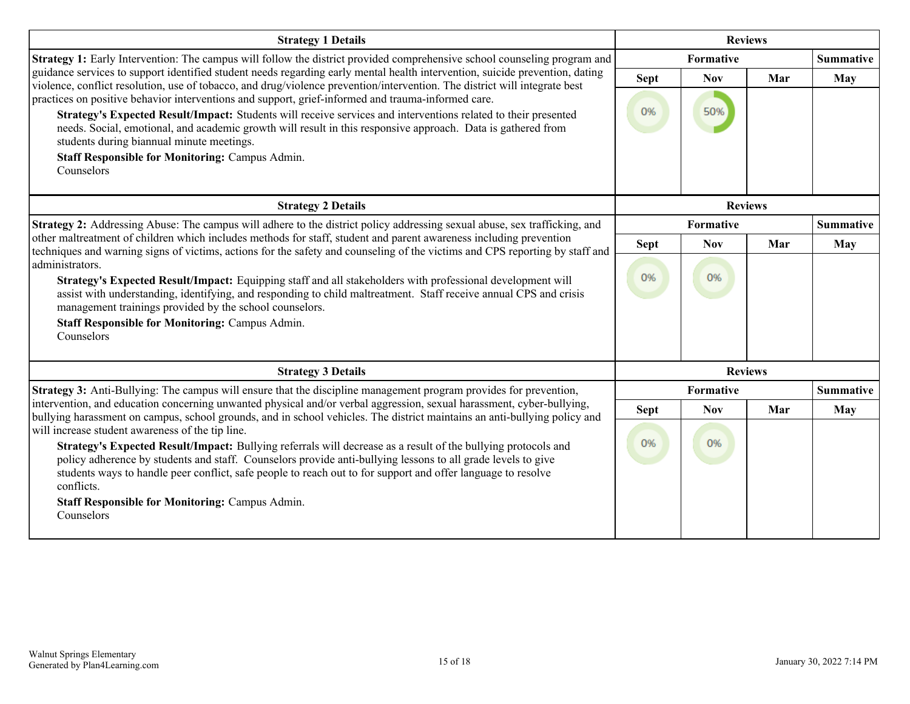| <b>Strategy 1 Details</b>                                                                                                                                                                                                                                                                                                                                   | <b>Reviews</b>                |            |                |                  |
|-------------------------------------------------------------------------------------------------------------------------------------------------------------------------------------------------------------------------------------------------------------------------------------------------------------------------------------------------------------|-------------------------------|------------|----------------|------------------|
| <b>Strategy 1:</b> Early Intervention: The campus will follow the district provided comprehensive school counseling program and                                                                                                                                                                                                                             | Formative                     |            |                | <b>Summative</b> |
| guidance services to support identified student needs regarding early mental health intervention, suicide prevention, dating<br>violence, conflict resolution, use of tobacco, and drug/violence prevention/intervention. The district will integrate best                                                                                                  | <b>Sept</b>                   | <b>Nov</b> | Mar            | May              |
| practices on positive behavior interventions and support, grief-informed and trauma-informed care.                                                                                                                                                                                                                                                          |                               |            |                |                  |
| Strategy's Expected Result/Impact: Students will receive services and interventions related to their presented<br>needs. Social, emotional, and academic growth will result in this responsive approach. Data is gathered from<br>students during biannual minute meetings.                                                                                 | 0%                            | 50%        |                |                  |
| <b>Staff Responsible for Monitoring: Campus Admin.</b><br>Counselors                                                                                                                                                                                                                                                                                        |                               |            |                |                  |
| <b>Strategy 2 Details</b>                                                                                                                                                                                                                                                                                                                                   |                               |            | <b>Reviews</b> |                  |
| Strategy 2: Addressing Abuse: The campus will adhere to the district policy addressing sexual abuse, sex trafficking, and                                                                                                                                                                                                                                   | <b>Formative</b>              |            |                | <b>Summative</b> |
| other maltreatment of children which includes methods for staff, student and parent awareness including prevention                                                                                                                                                                                                                                          | <b>Sept</b>                   | <b>Nov</b> | Mar            | May              |
| techniques and warning signs of victims, actions for the safety and counseling of the victims and CPS reporting by staff and<br>administrators.                                                                                                                                                                                                             |                               |            |                |                  |
| Strategy's Expected Result/Impact: Equipping staff and all stakeholders with professional development will<br>assist with understanding, identifying, and responding to child maltreatment. Staff receive annual CPS and crisis<br>management trainings provided by the school counselors.                                                                  | 0%                            | 0%         |                |                  |
| <b>Staff Responsible for Monitoring: Campus Admin.</b><br>Counselors                                                                                                                                                                                                                                                                                        |                               |            |                |                  |
| <b>Strategy 3 Details</b>                                                                                                                                                                                                                                                                                                                                   | <b>Reviews</b>                |            |                |                  |
| Strategy 3: Anti-Bullying: The campus will ensure that the discipline management program provides for prevention,                                                                                                                                                                                                                                           | Formative<br><b>Summative</b> |            |                |                  |
| intervention, and education concerning unwanted physical and/or verbal aggression, sexual harassment, cyber-bullying,<br>bullying harassment on campus, school grounds, and in school vehicles. The district maintains an anti-bullying policy and                                                                                                          | <b>Sept</b>                   | <b>Nov</b> | Mar            | <b>May</b>       |
| will increase student awareness of the tip line.                                                                                                                                                                                                                                                                                                            |                               |            |                |                  |
| Strategy's Expected Result/Impact: Bullying referrals will decrease as a result of the bullying protocols and<br>policy adherence by students and staff. Counselors provide anti-bullying lessons to all grade levels to give<br>students ways to handle peer conflict, safe people to reach out to for support and offer language to resolve<br>conflicts. | 0%                            | 0%         |                |                  |
| <b>Staff Responsible for Monitoring: Campus Admin.</b>                                                                                                                                                                                                                                                                                                      |                               |            |                |                  |
| Counselors                                                                                                                                                                                                                                                                                                                                                  |                               |            |                |                  |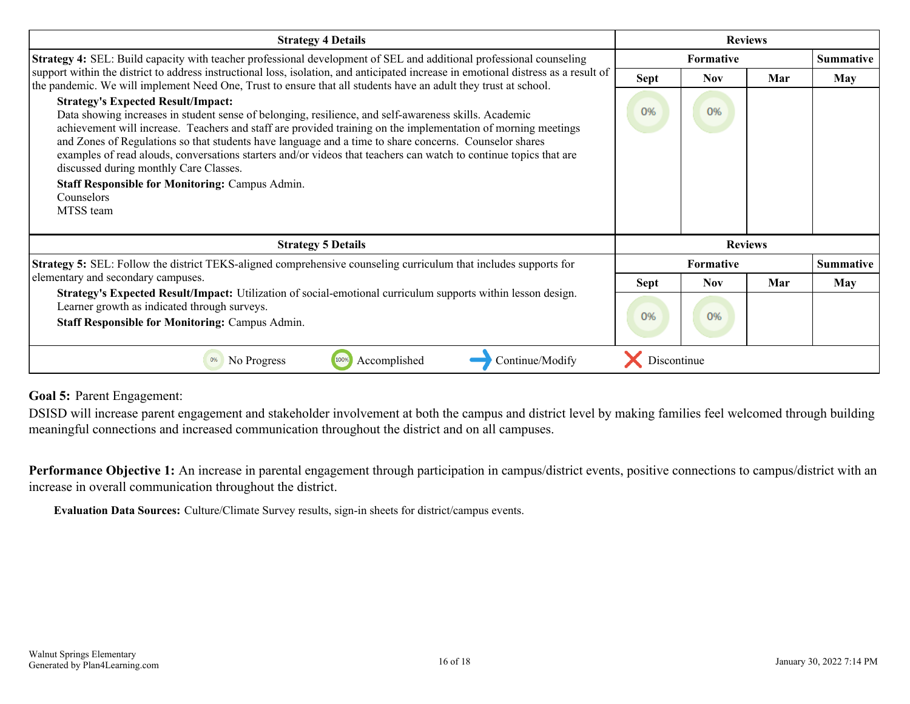<span id="page-15-0"></span>

| <b>Strategy 4 Details</b>                                                                                                                                                                                                                                                                                                                                                                                                                                                                                                                                                                                                         | <b>Reviews</b>   |            |                |                  |
|-----------------------------------------------------------------------------------------------------------------------------------------------------------------------------------------------------------------------------------------------------------------------------------------------------------------------------------------------------------------------------------------------------------------------------------------------------------------------------------------------------------------------------------------------------------------------------------------------------------------------------------|------------------|------------|----------------|------------------|
| Strategy 4: SEL: Build capacity with teacher professional development of SEL and additional professional counseling                                                                                                                                                                                                                                                                                                                                                                                                                                                                                                               | <b>Formative</b> |            |                | <b>Summative</b> |
| support within the district to address instructional loss, isolation, and anticipated increase in emotional distress as a result of<br>the pandemic. We will implement Need One, Trust to ensure that all students have an adult they trust at school.                                                                                                                                                                                                                                                                                                                                                                            | Sept             | Nov        | Mar            | May              |
| <b>Strategy's Expected Result/Impact:</b><br>Data showing increases in student sense of belonging, resilience, and self-awareness skills. Academic<br>achievement will increase. Teachers and staff are provided training on the implementation of morning meetings<br>and Zones of Regulations so that students have language and a time to share concerns. Counselor shares<br>examples of read alouds, conversations starters and/or videos that teachers can watch to continue topics that are<br>discussed during monthly Care Classes.<br><b>Staff Responsible for Monitoring: Campus Admin.</b><br>Counselors<br>MTSS team | 0%               | 0%         |                |                  |
| <b>Strategy 5 Details</b>                                                                                                                                                                                                                                                                                                                                                                                                                                                                                                                                                                                                         |                  |            | <b>Reviews</b> |                  |
| <b>Strategy 5:</b> SEL: Follow the district TEKS-aligned comprehensive counseling curriculum that includes supports for                                                                                                                                                                                                                                                                                                                                                                                                                                                                                                           | Formative        |            |                | <b>Summative</b> |
| elementary and secondary campuses.                                                                                                                                                                                                                                                                                                                                                                                                                                                                                                                                                                                                | <b>Sept</b>      | <b>Nov</b> | Mar            | May              |
| Strategy's Expected Result/Impact: Utilization of social-emotional curriculum supports within lesson design.<br>Learner growth as indicated through surveys.<br><b>Staff Responsible for Monitoring: Campus Admin.</b>                                                                                                                                                                                                                                                                                                                                                                                                            | 0%               | 0%         |                |                  |
| Continue/Modify<br>Accomplished<br>0%<br>No Progress<br>100%                                                                                                                                                                                                                                                                                                                                                                                                                                                                                                                                                                      | Discontinue      |            |                |                  |

#### **Goal 5:** Parent Engagement:

DSISD will increase parent engagement and stakeholder involvement at both the campus and district level by making families feel welcomed through building meaningful connections and increased communication throughout the district and on all campuses.

Performance Objective 1: An increase in parental engagement through participation in campus/district events, positive connections to campus/district with an increase in overall communication throughout the district.

**Evaluation Data Sources:** Culture/Climate Survey results, sign-in sheets for district/campus events.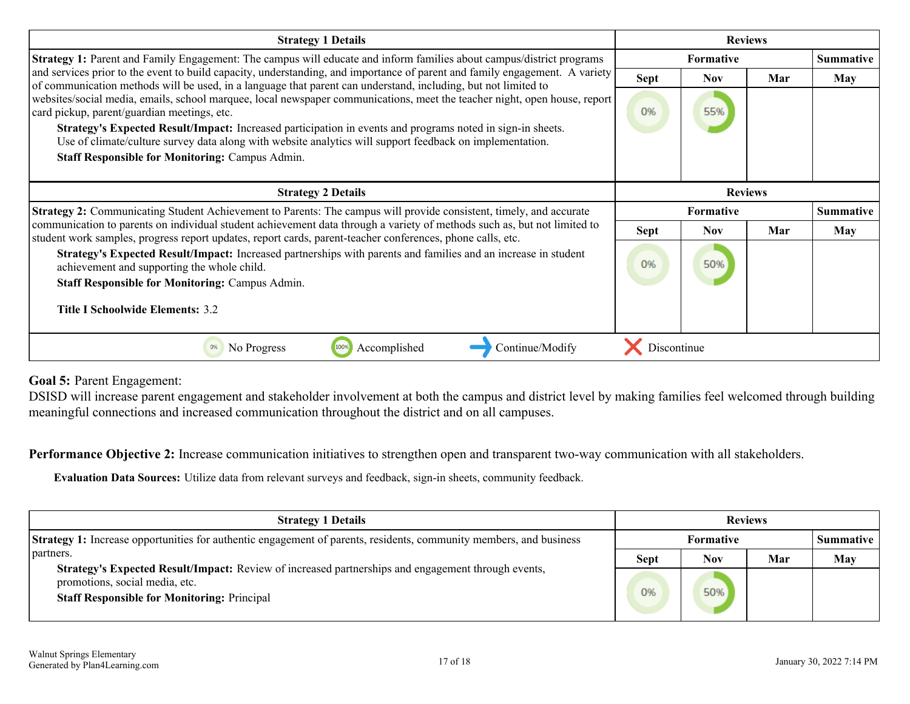| <b>Strategy 1 Details</b>                                                                                                                                                                                                                     | <b>Reviews</b> |                  |                  |                  |
|-----------------------------------------------------------------------------------------------------------------------------------------------------------------------------------------------------------------------------------------------|----------------|------------------|------------------|------------------|
| <b>Strategy 1:</b> Parent and Family Engagement: The campus will educate and inform families about campus/district programs                                                                                                                   |                | <b>Formative</b> |                  | <b>Summative</b> |
| and services prior to the event to build capacity, understanding, and importance of parent and family engagement. A variety<br>of communication methods will be used, in a language that parent can understand, including, but not limited to | <b>Sept</b>    | Nov              | Mar              | May              |
| websites/social media, emails, school marquee, local newspaper communications, meet the teacher night, open house, report<br>card pickup, parent/guardian meetings, etc.                                                                      | 0%             | 55%              |                  |                  |
| Strategy's Expected Result/Impact: Increased participation in events and programs noted in sign-in sheets.<br>Use of climate/culture survey data along with website analytics will support feedback on implementation.                        |                |                  |                  |                  |
| <b>Staff Responsible for Monitoring: Campus Admin.</b>                                                                                                                                                                                        |                |                  |                  |                  |
| <b>Strategy 2 Details</b>                                                                                                                                                                                                                     | <b>Reviews</b> |                  |                  |                  |
| <b>Strategy 2:</b> Communicating Student Achievement to Parents: The campus will provide consistent, timely, and accurate                                                                                                                     |                | Formative        | <b>Summative</b> |                  |
| communication to parents on individual student achievement data through a variety of methods such as, but not limited to<br>student work samples, progress report updates, report cards, parent-teacher conferences, phone calls, etc.        | <b>Sept</b>    | <b>Nov</b>       | Mar              | May              |
| Strategy's Expected Result/Impact: Increased partnerships with parents and families and an increase in student<br>achievement and supporting the whole child.                                                                                 | 0%             | 50%              |                  |                  |
| <b>Staff Responsible for Monitoring: Campus Admin.</b>                                                                                                                                                                                        |                |                  |                  |                  |
| Title I Schoolwide Elements: 3.2                                                                                                                                                                                                              |                |                  |                  |                  |
| 100%<br>Accomplished<br>Continue/Modify<br>No Progress<br>0%                                                                                                                                                                                  | Discontinue    |                  |                  |                  |

**Goal 5:** Parent Engagement:

DSISD will increase parent engagement and stakeholder involvement at both the campus and district level by making families feel welcomed through building meaningful connections and increased communication throughout the district and on all campuses.

**Performance Objective 2:** Increase communication initiatives to strengthen open and transparent two-way communication with all stakeholders.

**Evaluation Data Sources:** Utilize data from relevant surveys and feedback, sign-in sheets, community feedback.

| <b>Strategy 1 Details</b>                                                                                                                                                                  | <b>Reviews</b> |     |     |                    |
|--------------------------------------------------------------------------------------------------------------------------------------------------------------------------------------------|----------------|-----|-----|--------------------|
| <b>Strategy 1:</b> Increase opportunities for authentic engagement of parents, residents, community members, and business                                                                  | Formative      |     |     | <b>Summative</b> 1 |
| partners.                                                                                                                                                                                  | <b>Sept</b>    | Nov | Mar | May                |
| Strategy's Expected Result/Impact: Review of increased partnerships and engagement through events,<br>promotions, social media, etc.<br><b>Staff Responsible for Monitoring: Principal</b> | <b>O%</b>      | 50% |     |                    |